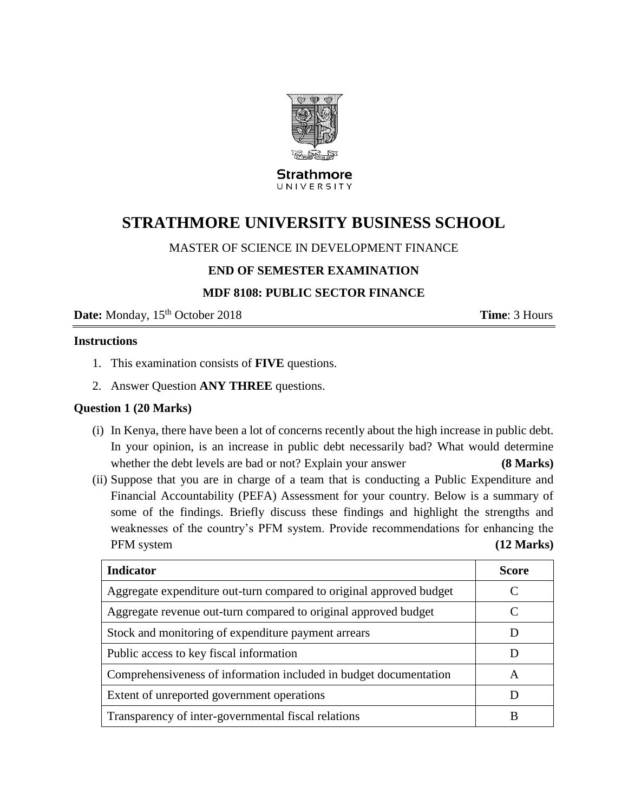

#### **Strathmore** UNIVERSITY

# **STRATHMORE UNIVERSITY BUSINESS SCHOOL**

## MASTER OF SCIENCE IN DEVELOPMENT FINANCE

## **END OF SEMESTER EXAMINATION**

## **MDF 8108: PUBLIC SECTOR FINANCE**

**Date:** Monday,  $15^{th}$  October 2018 **Time**: 3 Hours

#### **Instructions**

- 1. This examination consists of **FIVE** questions.
- 2. Answer Question **ANY THREE** questions.

#### **Question 1 (20 Marks)**

- (i) In Kenya, there have been a lot of concerns recently about the high increase in public debt. In your opinion, is an increase in public debt necessarily bad? What would determine whether the debt levels are bad or not? Explain your answer **(8 Marks)**
- (ii) Suppose that you are in charge of a team that is conducting a Public Expenditure and Financial Accountability (PEFA) Assessment for your country. Below is a summary of some of the findings. Briefly discuss these findings and highlight the strengths and weaknesses of the country's PFM system. Provide recommendations for enhancing the PFM system **(12 Marks)**

| <b>Indicator</b>                                                    | <b>Score</b>  |
|---------------------------------------------------------------------|---------------|
| Aggregate expenditure out-turn compared to original approved budget |               |
| Aggregate revenue out-turn compared to original approved budget     | $\mathcal{C}$ |
| Stock and monitoring of expenditure payment arrears                 |               |
| Public access to key fiscal information                             | Ð             |
| Comprehensiveness of information included in budget documentation   | A             |
| Extent of unreported government operations                          |               |
| Transparency of inter-governmental fiscal relations                 |               |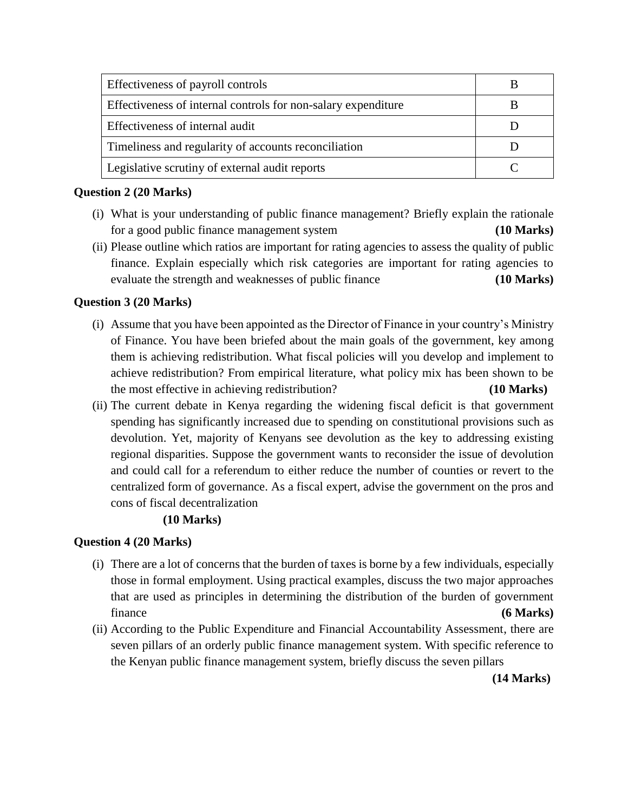| Effectiveness of payroll controls                             |  |
|---------------------------------------------------------------|--|
| Effectiveness of internal controls for non-salary expenditure |  |
| Effectiveness of internal audit                               |  |
| Timeliness and regularity of accounts reconciliation          |  |
| Legislative scrutiny of external audit reports                |  |

## **Question 2 (20 Marks)**

- (i) What is your understanding of public finance management? Briefly explain the rationale for a good public finance management system **(10 Marks)**
- (ii) Please outline which ratios are important for rating agencies to assess the quality of public finance. Explain especially which risk categories are important for rating agencies to evaluate the strength and weaknesses of public finance **(10 Marks)**

# **Question 3 (20 Marks)**

- (i) Assume that you have been appointed as the Director of Finance in your country's Ministry of Finance. You have been briefed about the main goals of the government, key among them is achieving redistribution. What fiscal policies will you develop and implement to achieve redistribution? From empirical literature, what policy mix has been shown to be the most effective in achieving redistribution? **(10 Marks)**
- (ii) The current debate in Kenya regarding the widening fiscal deficit is that government spending has significantly increased due to spending on constitutional provisions such as devolution. Yet, majority of Kenyans see devolution as the key to addressing existing regional disparities. Suppose the government wants to reconsider the issue of devolution and could call for a referendum to either reduce the number of counties or revert to the centralized form of governance. As a fiscal expert, advise the government on the pros and cons of fiscal decentralization

# **(10 Marks)**

# **Question 4 (20 Marks)**

- (i) There are a lot of concerns that the burden of taxes is borne by a few individuals, especially those in formal employment. Using practical examples, discuss the two major approaches that are used as principles in determining the distribution of the burden of government finance **(6 Marks)**
- (ii) According to the Public Expenditure and Financial Accountability Assessment, there are seven pillars of an orderly public finance management system. With specific reference to the Kenyan public finance management system, briefly discuss the seven pillars

 **(14 Marks)**